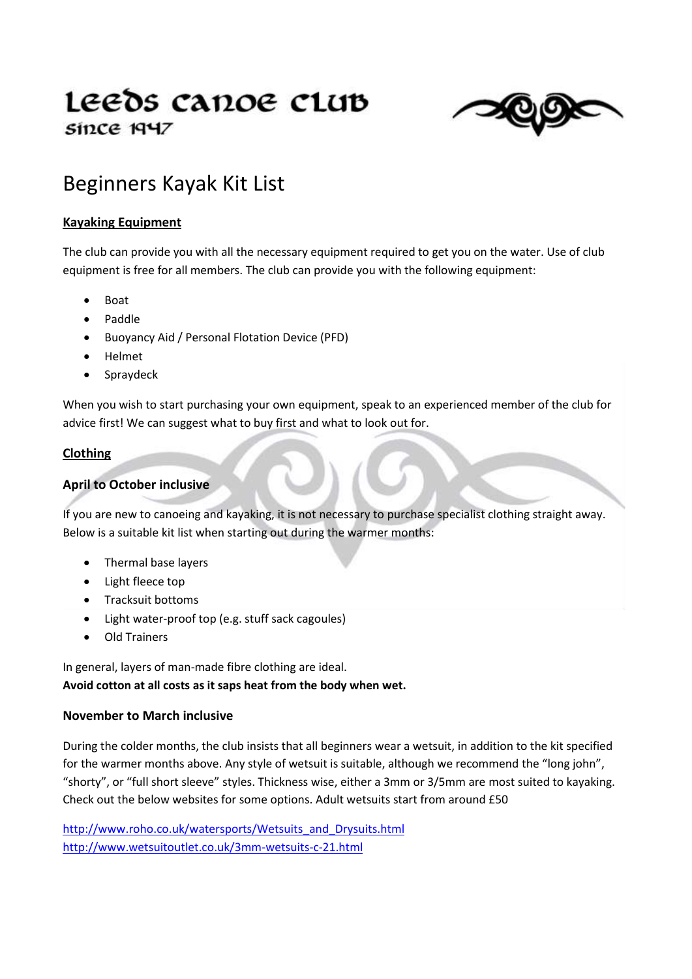# Leeds canoe club since 1947



## Beginners Kayak Kit List

#### **Kayaking Equipment**

The club can provide you with all the necessary equipment required to get you on the water. Use of club equipment is free for all members. The club can provide you with the following equipment:

- Boat
- Paddle
- Buoyancy Aid / Personal Flotation Device (PFD)
- Helmet
- Spraydeck

When you wish to start purchasing your own equipment, speak to an experienced member of the club for advice first! We can suggest what to buy first and what to look out for.

#### **Clothing**

#### **April to October inclusive**

If you are new to canoeing and kayaking, it is not necessary to purchase specialist clothing straight away. Below is a suitable kit list when starting out during the warmer months:

- Thermal base layers
- Light fleece top
- Tracksuit bottoms
- Light water-proof top (e.g. stuff sack cagoules)
- Old Trainers

In general, layers of man-made fibre clothing are ideal. **Avoid cotton at all costs as it saps heat from the body when wet.**

#### **November to March inclusive**

During the colder months, the club insists that all beginners wear a wetsuit, in addition to the kit specified for the warmer months above. Any style of wetsuit is suitable, although we recommend the "long john", "shorty", or "full short sleeve" styles. Thickness wise, either a 3mm or 3/5mm are most suited to kayaking. Check out the below websites for some options. Adult wetsuits start from around £50

[http://www.roho.co.uk/watersports/Wetsuits\\_and\\_Drysuits.html](http://www.roho.co.uk/watersports/Wetsuits_and_Drysuits.html) <http://www.wetsuitoutlet.co.uk/3mm-wetsuits-c-21.html>